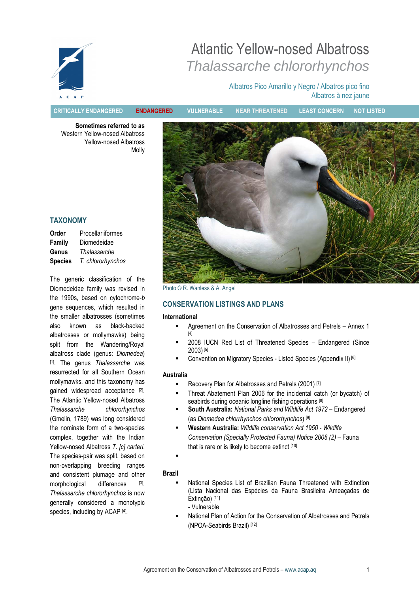

# Atlantic Yellow-nosed Albatross Thalassarche chlororhynchos

## Albatros Pico Amarillo y Negro / Albatros pico fino Albatros à nez jaune

CRITICALLY ENDANGERED ENDANGERED VULNERABLE NEAR THREATENED LEAST CONCERN NOT LISTED

Sometimes referred to as Western Yellow-nosed Albatross Yellow-nosed Albatross Molly



Photo © R. Wanless & A. Angel

## CONSERVATION LISTINGS AND PLANS

#### International

- Agreement on the Conservation of Albatrosses and Petrels Annex 1 [4]
- 2008 IUCN Red List of Threatened Species Endangered (Since 2003) [5]
- Convention on Migratory Species Listed Species (Appendix II) [6]

## Australia

- Recovery Plan for Albatrosses and Petrels (2001) [7]
- Threat Abatement Plan 2006 for the incidental catch (or bycatch) of seabirds during oceanic longline fishing operations [8]
- South Australia: National Parks and Wildlife Act 1972 Endangered (as Diomedea chlorrhynchos chlororhynchos) [9]
- **Western Australia:** Wildlife conservation Act 1950 Wildlife Conservation (Specially Protected Fauna) Notice 2008 (2) – Fauna that is rare or is likely to become extinct [10]
- .

## Brazil

- National Species List of Brazilian Fauna Threatened with Extinction (Lista Nacional das Espécies da Fauna Brasileira Ameaçadas de Extinção) [11] - Vulnerable
- National Plan of Action for the Conservation of Albatrosses and Petrels (NPOA-Seabirds Brazil) [12]

## TAXONOMY

| Order          | Procellariiformes |
|----------------|-------------------|
| Family         | Diomedeidae       |
| Genus          | Thalassarche      |
| <b>Species</b> | T. chlororhynchos |

The generic classification of the Diomedeidae family was revised in the 1990s, based on cytochrome-b gene sequences, which resulted in the smaller albatrosses (sometimes also known as black-backed albatrosses or mollymawks) being split from the Wandering/Royal albatross clade (genus: Diomedea) [1]. The genus Thalassarche was resurrected for all Southern Ocean mollymawks, and this taxonomy has gained widespread acceptance [2]. The Atlantic Yellow-nosed Albatross Thalassarche chlororhynchos (Gmelin, 1789) was long considered the nominate form of a two-species complex, together with the Indian Yellow-nosed Albatross T. [c] carteri. The species-pair was split, based on non-overlapping breeding ranges and consistent plumage and other morphological differences  $\lceil 3 \rceil$ Thalassarche chlororhynchos is now generally considered a monotypic species, including by ACAP [4].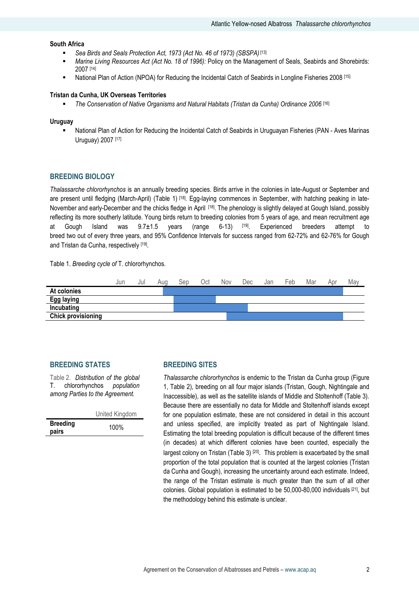## South Africa

- Sea Birds and Seals Protection Act, 1973 (Act No. 46 of 1973) (SBSPA) [13]
- Marine Living Resources Act (Act No. 18 of 1996): Policy on the Management of Seals, Seabirds and Shorebirds: 2007 [14]
- National Plan of Action (NPOA) for Reducing the Incidental Catch of Seabirds in Longline Fisheries 2008 [15]

#### Tristan da Cunha, UK Overseas Territories

The Conservation of Native Organisms and Natural Habitats (Tristan da Cunha) Ordinance 2006 [16]

#### Uruguay

 National Plan of Action for Reducing the Incidental Catch of Seabirds in Uruguayan Fisheries (PAN - Aves Marinas Uruguay) 2007 [17]

## BREEDING BIOLOGY

Thalassarche chlororhynchos is an annually breeding species. Birds arrive in the colonies in late-August or September and are present until fledging (March-April) (Table 1) [18]. Egg-laying commences in September, with hatching peaking in late-November and early-December and the chicks fledge in April [18]. The phenology is slightly delayed at Gough Island, possibly reflecting its more southerly latitude. Young birds return to breeding colonies from 5 years of age, and mean recruitment age at Gough Island was 9.7±1.5 years (range 6-13) [19]. Experienced breeders attempt to breed two out of every three years, and 95% Confidence Intervals for success ranged from 62-72% and 62-76% for Gough and Tristan da Cunha, respectively [19].

Table 1. Breeding cycle of T. chlororhynchos.



#### BREEDING STATES

Table 2. Distribution of the global T. chlororhynchos population among Parties to the Agreement.

|                          | United Kingdom |  |  |  |
|--------------------------|----------------|--|--|--|
| <b>Breeding</b><br>pairs | 100%           |  |  |  |

#### BREEDING SITES

Thalassarche chlororhynchos is endemic to the Tristan da Cunha group (Figure 1, Table 2), breeding on all four major islands (Tristan, Gough, Nightingale and Inaccessible), as well as the satellite islands of Middle and Stoltenhoff (Table 3). Because there are essentially no data for Middle and Stoltenhoff islands except for one population estimate, these are not considered in detail in this account and unless specified, are implicitly treated as part of Nightingale Island. Estimating the total breeding population is difficult because of the different times (in decades) at which different colonies have been counted, especially the largest colony on Tristan (Table 3)<sup>[20]</sup>. This problem is exacerbated by the small proportion of the total population that is counted at the largest colonies (Tristan da Cunha and Gough), increasing the uncertainty around each estimate. Indeed, the range of the Tristan estimate is much greater than the sum of all other colonies. Global population is estimated to be 50,000-80,000 individuals [21], but the methodology behind this estimate is unclear.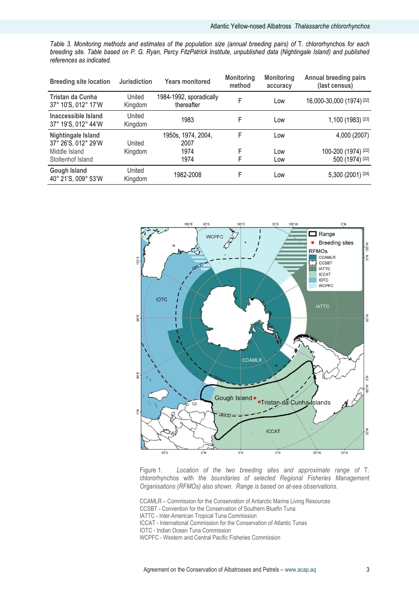Table 3. Monitoring methods and estimates of the population size (annual breeding pairs) of T. chlororhynchos for each breeding site. Table based on P. G. Ryan, Percy FitzPatrick Institute, unpublished data (Nightingale Island) and published references as indicated.

| <b>Breeding site location</b>              | <b>Jurisdiction</b> | <b>Years monitored</b>                | <b>Monitoring</b><br>method | <b>Monitoring</b><br>accuracy | <b>Annual breeding pairs</b><br>(last census) |
|--------------------------------------------|---------------------|---------------------------------------|-----------------------------|-------------------------------|-----------------------------------------------|
| Tristan da Cunha<br>37° 10'S, 012° 17'W    | United<br>Kingdom   | 1984-1992, sporadically<br>thereafter | F                           | Low                           | 16,000-30,000 (1974) <sup>[22]</sup>          |
| Inaccessible Island<br>37° 19'S, 012° 44'W | United<br>Kingdom   | 1983                                  | F                           | Low                           | 1,100 (1983) [23]                             |
| Nightingale Island<br>37° 26'S, 012° 29'W  | United              | 1950s, 1974, 2004,<br>2007            | F                           | Low                           | 4,000 (2007)                                  |
| Middle Island                              | Kingdom             | 1974                                  | F                           | Low                           | 100-200 (1974) [22]                           |
| Stoltenhof Island                          |                     | 1974                                  | F                           | Low                           | 500 (1974) [22]                               |
| <b>Gough Island</b><br>40° 21'S, 009° 53'W | United<br>Kingdom   | 1982-2008                             | F                           | Low                           | 5,300 (2001) [24]                             |



Figure 1. Location of the two breeding sites and approximate range of T. chlororhynchos with the boundaries of selected Regional Fisheries Management Organisations (RFMOs) also shown. Range is based on at-sea observations.

CCAMLR – Commission for the Conservation of Antarctic Marine Living Resources

CCSBT - Convention for the Conservation of Southern Bluefin Tuna

IATTC - Inter-American Tropical Tuna Commission

ICCAT - International Commission for the Conservation of Atlantic Tunas

IOTC - Indian Ocean Tuna Commission

WCPFC - Western and Central Pacific Fisheries Commission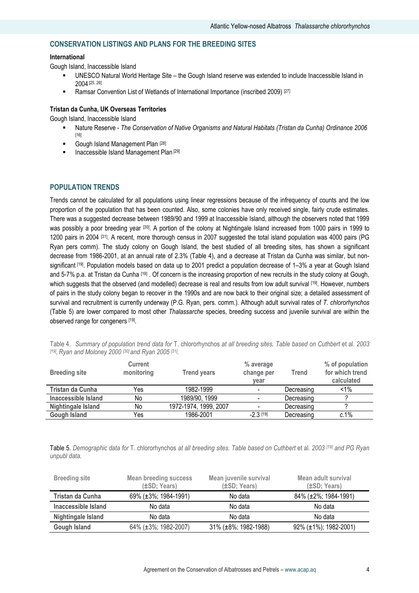## CONSERVATION LISTINGS AND PLANS FOR THE BREEDING SITES

## International

Gough Island, Inaccessible Island

- UNESCO Natural World Heritage Site the Gough Island reserve was extended to include Inaccessible Island in 2004 [25, 26]
- Ramsar Convention List of Wetlands of International Importance (inscribed 2009) [27]

## Tristan da Cunha, UK Overseas Territories

Gough Island, Inaccessible Island

- Nature Reserve The Conservation of Native Organisms and Natural Habitats (Tristan da Cunha) Ordinance 2006 [16]
- Gough Island Management Plan [28]
- **Inaccessible Island Management Plan [29]**

## POPULATION TRENDS

Trends cannot be calculated for all populations using linear regressions because of the infrequency of counts and the low proportion of the population that has been counted. Also, some colonies have only received single, fairly crude estimates. There was a suggested decrease between 1989/90 and 1999 at Inaccessible Island, although the observers noted that 1999 was possibly a poor breeding year [30]. A portion of the colony at Nightingale Island increased from 1000 pairs in 1999 to 1200 pairs in 2004 [31]. A recent, more thorough census in 2007 suggested the total island population was 4000 pairs (PG Ryan pers comm). The study colony on Gough Island, the best studied of all breeding sites, has shown a significant decrease from 1986-2001, at an annual rate of 2.3% (Table 4), and a decrease at Tristan da Cunha was similar, but nonsignificant <sup>[19]</sup>. Population models based on data up to 2001 predict a population decrease of 1–3% a year at Gough Island and 5-7% p.a. at Tristan da Cunha [19] . Of concern is the increasing proportion of new recruits in the study colony at Gough, which suggests that the observed (and modelled) decrease is real and results from low adult survival [19]. However, numbers of pairs in the study colony began to recover in the 1990s and are now back to their original size; a detailed assessment of survival and recruitment is currently underway (P.G. Ryan, pers. comm.). Although adult survival rates of T. chlororhynchos (Table 5) are lower compared to most other Thalassarche species, breeding success and juvenile survival are within the observed range for congeners [19].

| <b>Breeding site</b> | Current<br>monitoring | <b>Trend years</b>    | % average<br>change per<br>year | Trend      | % of population<br>for which trend<br>calculated |
|----------------------|-----------------------|-----------------------|---------------------------------|------------|--------------------------------------------------|
| Tristan da Cunha     | Yes                   | 1982-1999             |                                 | Decreasing | $< 1\%$                                          |
| Inaccessible Island  | No                    | 1989/90, 1999         |                                 | Decreasing |                                                  |
| Nightingale Island   | No                    | 1972-1974, 1999, 2007 |                                 | Decreasing |                                                  |
| <b>Gough Island</b>  | Yes                   | 1986-2001             | $-2.3$ [19]                     | Decreasing | c.1%                                             |

Table 4. Summary of population trend data for T. chlororhynchos at all breeding sites. Table based on Cuthbert et al. 2003 [19], Ryan and Moloney 2000 [30] and Ryan 2005 [31].

Table 5. Demographic data for T. chlororhynchos at all breeding sites. Table based on Cuthbert et al. 2003 [19] and PG Ryan unpubl data.

| <b>Breeding site</b> | <b>Mean breeding success</b><br>(±SD; Years) | Mean juvenile survival<br>$(\pm SD; Years)$ | Mean adult survival<br>$(\pm SD; Years)$ |
|----------------------|----------------------------------------------|---------------------------------------------|------------------------------------------|
| Tristan da Cunha     | 69% (±3%; 1984-1991)                         | No data                                     | 84% (±2%; 1984-1991)                     |
| Inaccessible Island  | No data                                      | No data                                     | No data                                  |
| Nightingale Island   | No data                                      | No data                                     | No data                                  |
| <b>Gough Island</b>  | 64% (±3%; 1982-2007)                         | $31\%$ ( $\pm 8\%$ ; 1982-1988)             | 92% (±1%); 1982-2001)                    |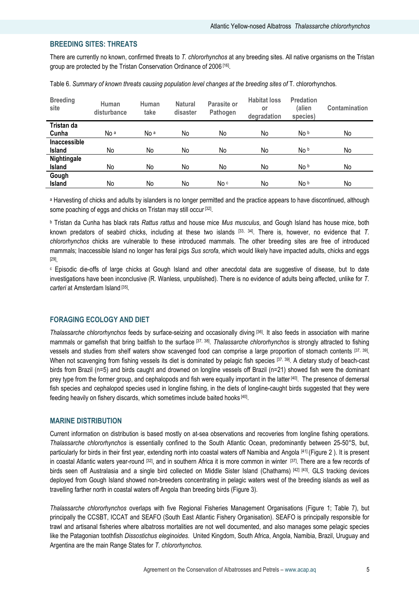## BREEDING SITES: THREATS

There are currently no known, confirmed threats to T. chlororhynchos at any breeding sites. All native organisms on the Tristan group are protected by the Tristan Conservation Ordinance of 2006 [16] .

| <b>Breeding</b><br>site | Human<br>disturbance | Human<br>take   | <b>Natural</b><br>disaster | Parasite or<br>Pathogen | <b>Habitat loss</b><br>or<br>degradation | <b>Predation</b><br>(alien<br>species) | Contamination |
|-------------------------|----------------------|-----------------|----------------------------|-------------------------|------------------------------------------|----------------------------------------|---------------|
| Tristan da              |                      |                 |                            |                         |                                          |                                        |               |
| Cunha                   | No <sup>a</sup>      | No <sup>a</sup> | No                         | No                      | No                                       | No b                                   | No            |
| <b>Inaccessible</b>     |                      |                 |                            |                         |                                          |                                        |               |
| <b>Island</b>           | No                   | No              | No                         | No                      | No                                       | No b                                   | No            |
| Nightingale             |                      |                 |                            |                         |                                          |                                        |               |
| Island                  | No                   | No              | No                         | No                      | No                                       | No b                                   | No            |
| Gough                   |                      |                 |                            |                         |                                          |                                        |               |
| Island                  | No                   | No              | No                         | No c                    | No                                       | No b                                   | No            |

Table 6. Summary of known threats causing population level changes at the breeding sites of T. chlororhynchos.

a Harvesting of chicks and adults by islanders is no longer permitted and the practice appears to have discontinued, although some poaching of eggs and chicks on Tristan may still occur<sup>[32]</sup>.

**b Tristan da Cunha has black rats** *Rattus rattus* **and house mice** *Mus musculus***, and Gough Island has house mice, both** known predators of seabird chicks, including at these two islands  $[33, 34]$ . There is, however, no evidence that T. chlororhynchos chicks are vulnerable to these introduced mammals. The other breeding sites are free of introduced mammals; Inaccessible Island no longer has feral pigs Sus scrofa, which would likely have impacted adults, chicks and eggs [29] .

c Episodic die-offs of large chicks at Gough Island and other anecdotal data are suggestive of disease, but to date investigations have been inconclusive (R. Wanless, unpublished). There is no evidence of adults being affected, unlike for T. carteri at Amsterdam Island [35].

## FORAGING ECOLOGY AND DIET

Thalassarche chlororhynchos feeds by surface-seizing and occasionally diving [36]. It also feeds in association with marine mammals or gamefish that bring baitfish to the surface <sup>[37, 38]</sup>. Thalassarche chlororhynchos is strongly attracted to fishing vessels and studies from shelf waters show scavenged food can comprise a large proportion of stomach contents [37, 39]. When not scavenging from fishing vessels its diet is dominated by pelagic fish species [37, 39]. A dietary study of beach-cast birds from Brazil (n=5) and birds caught and drowned on longline vessels off Brazil (n=21) showed fish were the dominant prey type from the former group, and cephalopods and fish were equally important in the latter [40]. The presence of demersal fish species and cephalopod species used in longline fishing, in the diets of longline-caught birds suggested that they were feeding heavily on fishery discards, which sometimes include baited hooks [40].

### MARINE DISTRIBUTION

Current information on distribution is based mostly on at-sea observations and recoveries from longline fishing operations. Thalassarche chlororhynchos is essentially confined to the South Atlantic Ocean, predominantly between 25-50°S, but, particularly for birds in their first year, extending north into coastal waters off Namibia and Angola [41] (Figure 2 ). It is present in coastal Atlantic waters year-round [32], and in southern Africa it is more common in winter [37]. There are a few records of birds seen off Australasia and a single bird collected on Middle Sister Island (Chathams) [42] [43]. GLS tracking devices deployed from Gough Island showed non-breeders concentrating in pelagic waters west of the breeding islands as well as travelling farther north in coastal waters off Angola than breeding birds (Figure 3).

Thalassarche chlororhynchos overlaps with five Regional Fisheries Management Organisations (Figure 1; Table 7), but principally the CCSBT, ICCAT and SEAFO (South East Atlantic Fishery Organisation). SEAFO is principally responsible for trawl and artisanal fisheries where albatross mortalities are not well documented, and also manages some pelagic species like the Patagonian toothfish Dissostichus eleginoides. United Kingdom, South Africa, Angola, Namibia, Brazil, Uruguay and Argentina are the main Range States for T. chlororhynchos.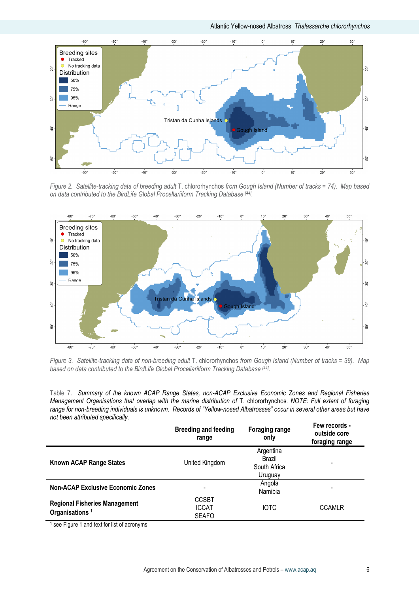Atlantic Yellow-nosed Albatross Thalassarche chlororhynchos



Figure 2. Satellite-tracking data of breeding adult T. chlororhynchos from Gough Island (Number of tracks = 74). Map based on data contributed to the BirdLife Global Procellariiform Tracking Database [44].



Figure 3. Satellite-tracking data of non-breeding adult T. chlororhynchos from Gough Island (Number of tracks = 39). Map based on data contributed to the BirdLife Global Procellariiform Tracking Database [44].

Table 7. Summary of the known ACAP Range States, non-ACAP Exclusive Economic Zones and Regional Fisheries Management Organisations that overlap with the marine distribution of T. chlororhynchos. NOTE: Full extent of foraging range for non-breeding individuals is unknown. Records of "Yellow-nosed Albatrosses" occur in several other areas but have not been attributed specifically.

|                                                                    | <b>Breeding and feeding</b><br>range         | <b>Foraging range</b><br>only                  | Few records -<br>outside core<br>foraging range |
|--------------------------------------------------------------------|----------------------------------------------|------------------------------------------------|-------------------------------------------------|
| Known ACAP Range States                                            | United Kingdom                               | Argentina<br>Brazil<br>South Africa<br>Uruguay |                                                 |
| <b>Non-ACAP Exclusive Economic Zones</b>                           |                                              | Angola<br>Namibia                              |                                                 |
| <b>Regional Fisheries Management</b><br>Organisations <sup>1</sup> | <b>CCSBT</b><br><b>ICCAT</b><br><b>SEAFO</b> | <b>IOTC</b>                                    | <b>CCAMLR</b>                                   |

<sup>1</sup> see Figure 1 and text for list of acronyms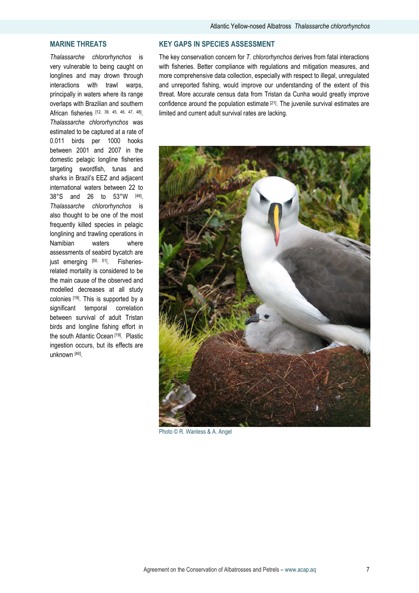## MARINE THREATS

Thalassarche chlororhynchos is very vulnerable to being caught on longlines and may drown through interactions with trawl warps, principally in waters where its range overlaps with Brazilian and southern African fisheries [12, 39, 45, 46, 47, 48] . Thalassarche chlororhynchos was estimated to be captured at a rate of 0.011 birds per 1000 hooks between 2001 and 2007 in the domestic pelagic longline fisheries targeting swordfish, tunas and sharks in Brazil's EEZ and adjacent international waters between 22 to 38°S and 26 to 53°W [49] . Thalassarche chlororhynchos is also thought to be one of the most frequently killed species in pelagic longlining and trawling operations in Namibian waters where assessments of seabird bycatch are just emerging [50, 51]. Fisheriesrelated mortality is considered to be the main cause of the observed and modelled decreases at all study colonies [19]. This is supported by a significant temporal correlation between survival of adult Tristan birds and longline fishing effort in the south Atlantic Ocean [19]. Plastic ingestion occurs, but its effects are unknown [40] .

## KEY GAPS IN SPECIES ASSESSMENT

The key conservation concern for T. chlororhynchos derives from fatal interactions with fisheries. Better compliance with regulations and mitigation measures, and more comprehensive data collection, especially with respect to illegal, unregulated and unreported fishing, would improve our understanding of the extent of this threat. More accurate census data from Tristan da Cunha would greatly improve confidence around the population estimate [21]. The juvenile survival estimates are limited and current adult survival rates are lacking.



Photo © R. Wanless & A. Angel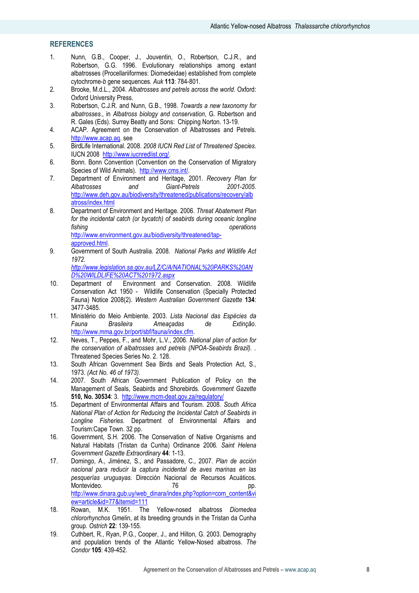## **REFERENCES**

- 1. Nunn, G.B., Cooper, J., Jouventin, O., Robertson, C.J.R., and Robertson, G.G. 1996. Evolutionary relationships among extant albatrosses (Procellariiformes: Diomedeidae) established from complete cytochrome-b gene sequences. Auk 113: 784-801.
- 2. Brooke, M.d.L., 2004. Albatrosses and petrels across the world. Oxford: Oxford University Press.
- 3. Robertson, C.J.R. and Nunn, G.B., 1998. Towards a new taxonomy for albatrosses., in Albatross biology and conservation, G. Robertson and R. Gales (Eds). Surrey Beatty and Sons: Chipping Norton. 13-19.
- 4. ACAP. Agreement on the Conservation of Albatrosses and Petrels. http://www.acap.aq. see
- 5. BirdLife International. 2008. 2008 IUCN Red List of Threatened Species. IUCN 2008 http://www.iucnredlist.org/.
- 6. Bonn. Bonn Convention (Convention on the Conservation of Migratory Species of Wild Animals). http://www.cms.int/.
- 7. Department of Environment and Heritage, 2001. Recovery Plan for<br>Albatrosses and Giant-Petrels 2001-2005. Albatrosses and Giant-Petrels 2001-2005. http://www.deh.gov.au/biodiversity/threatened/publications/recovery/alb atross/index.html
- 8. Department of Environment and Heritage. 2006. Threat Abatement Plan for the incidental catch (or bycatch) of seabirds during oceanic longline fishing operations of the contract of the contract of the contract of the contract of the contract of the contract of the contract of the contract of the contract of the contract of the contract of the contract of the cont http://www.environment.gov.au/biodiversity/threatened/tapapproved.html.
- 9. Government of South Australia. 2008. National Parks and Wildlife Act 1972.

http://www.legislation.sa.gov.au/LZ/C/A/NATIONAL%20PARKS%20AN D%20WILDLIFE%20ACT%201972.aspx

- 10. Department of Environment and Conservation. 2008. Wildlife Conservation Act 1950 - Wildlife Conservation (Specially Protected Fauna) Notice 2008(2). Western Australian Government Gazette 134: 3477-3485.
- 11. Ministério do Meio Ambiente. 2003. Lista Nacional das Espécies da Fauna Brasileira Ameaçadas de Extinção. http://www.mma.gov.br/port/sbf/fauna/index.cfm.
- 12. Neves, T., Peppes, F., and Mohr, L.V., 2006. National plan of action for the conservation of albatrosses and petrels (NPOA-Seabirds Brazil). . Threatened Species Series No. 2. 128.
- 13. South African Government Sea Birds and Seals Protection Act, S., 1973. (Act No. 46 of 1973).
- 14. 2007. South African Government Publication of Policy on the Management of Seals, Seabirds and Shorebirds. Government Gazette 510, No. 30534: 3. http://www.mcm-deat.gov.za/regulatory/
- 15. Department of Environmental Affairs and Tourism. 2008. South Africa National Plan of Action for Reducing the Incidental Catch of Seabirds in Longline Fisheries. Department of Environmental Affairs and Tourism:Cape Town. 32 pp.
- 16. Government, S.H. 2006. The Conservation of Native Organisms and Natural Habitats (Tristan da Cunha) Ordinance 2006. Saint Helena Government Gazette Extraordinary 44: 1-13.
- 17. Domingo, A., Jiménez, S., and Passadore, C., 2007. Plan de acción nacional para reducir la captura incidental de aves marinas en las pesquerías uruguayas. Dirección Nacional de Recursos Acuáticos. Montevideo. 76 http://www.dinara.gub.uy/web\_dinara/index.php?option=com\_content&vi ew=article&id=77&Itemid=111
- 18. Rowan, M.K. 1951. The Yellow-nosed albatross Diomedea chlororhynchos Gmelin, at its breeding grounds in the Tristan da Cunha group. Ostrich 22: 139-155.
- 19. Cuthbert, R., Ryan, P.G., Cooper, J., and Hilton, G. 2003. Demography and population trends of the Atlantic Yellow-Nosed albatross. The Condor 105: 439-452.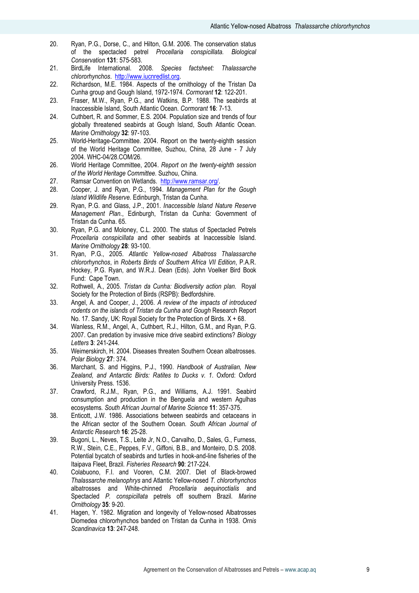- 20. Ryan, P.G., Dorse, C., and Hilton, G.M. 2006. The conservation status of the spectacled petrel Procellaria conspicillata. Biological Conservation 131: 575-583.
- 21. BirdLife International. 2008. Species factsheet: Thalassarche chlororhynchos. http://www.iucnredlist.org.
- 22. Richardson, M.E. 1984. Aspects of the ornithology of the Tristan Da Cunha group and Gough Island, 1972-1974. Cormorant 12: 122-201.
- 23. Fraser, M.W., Ryan, P.G., and Watkins, B.P. 1988. The seabirds at Inaccessible Island, South Atlantic Ocean. Cormorant 16: 7-13.
- 24. Cuthbert, R. and Sommer, E.S. 2004. Population size and trends of four globally threatened seabirds at Gough Island, South Atlantic Ocean. Marine Ornithology 32: 97-103.
- 25. World-Heritage-Committee. 2004. Report on the twenty-eighth session of the World Heritage Committee, Suzhou, China, 28 June - 7 July 2004. WHC-04/28.COM/26.
- 26. World Heritage Committee, 2004. Report on the twenty-eighth session of the World Heritage Committee. Suzhou, China.
- 27. Ramsar Convention on Wetlands. http://www.ramsar.org/.
- 28. Cooper, J. and Ryan, P.G., 1994. Management Plan for the Gough Island Wildlife Reserve. Edinburgh, Tristan da Cunha.
- 29. Ryan, P.G. and Glass, J.P., 2001. Inaccessible Island Nature Reserve Management Plan., Edinburgh, Tristan da Cunha: Government of Tristan da Cunha. 65.
- 30. Ryan, P.G. and Moloney, C.L. 2000. The status of Spectacled Petrels Procellaria conspicillata and other seabirds at Inaccessible Island. Marine Ornithology 28: 93-100.
- 31. Ryan, P.G., 2005. Atlantic Yellow-nosed Albatross Thalassarche chlororhynchos, in Roberts Birds of Southern Africa VII Edition, P.A.R. Hockey, P.G. Ryan, and W.R.J. Dean (Eds). John Voelker Bird Book Fund: Cape Town.
- 32. Rothwell, A., 2005. Tristan da Cunha: Biodiversity action plan. Royal Society for the Protection of Birds (RSPB): Bedfordshire.
- 33. Angel, A. and Cooper, J., 2006. A review of the impacts of introduced rodents on the islands of Tristan da Cunha and Gough Research Report No. 17. Sandy, UK: Royal Society for the Protection of Birds. X + 68.
- 34. Wanless, R.M., Angel, A., Cuthbert, R.J., Hilton, G.M., and Ryan, P.G. 2007. Can predation by invasive mice drive seabird extinctions? Biology Letters 3: 241-244.
- 35. Weimerskirch, H. 2004. Diseases threaten Southern Ocean albatrosses. Polar Biology 27: 374.
- 36. Marchant, S. and Higgins, P.J., 1990. Handbook of Australian, New Zealand, and Antarctic Birds: Ratites to Ducks v. 1. Oxford: Oxford University Press. 1536.
- 37. Crawford, R.J.M., Ryan, P.G., and Williams, A.J. 1991. Seabird consumption and production in the Benguela and western Agulhas ecosystems. South African Journal of Marine Science 11: 357-375.
- 38. Enticott, J.W. 1986. Associations between seabirds and cetaceans in the African sector of the Southern Ocean. South African Journal of Antarctic Research 16: 25-28.
- 39. Bugoni, L., Neves, T.S., Leite Jr, N.O., Carvalho, D., Sales, G., Furness, R.W., Stein, C.E., Peppes, F.V., Giffoni, B.B., and Monteiro, D.S. 2008. Potential bycatch of seabirds and turtles in hook-and-line fisheries of the Itaipava Fleet, Brazil. Fisheries Research 90: 217-224.
- 40. Colabuono, F.I. and Vooren, C.M. 2007. Diet of Black-browed Thalassarche melanophrys and Atlantic Yellow-nosed T. chlororhynchos albatrosses and White-chinned Procellaria aequinoctialis and Spectacled P. conspicillata petrels off southern Brazil. Marine Ornithology 35: 9-20.
- 41. Hagen, Y. 1982. Migration and longevity of Yellow-nosed Albatrosses Diomedea chlororhynchos banded on Tristan da Cunha in 1938. Ornis Scandinavica 13: 247-248.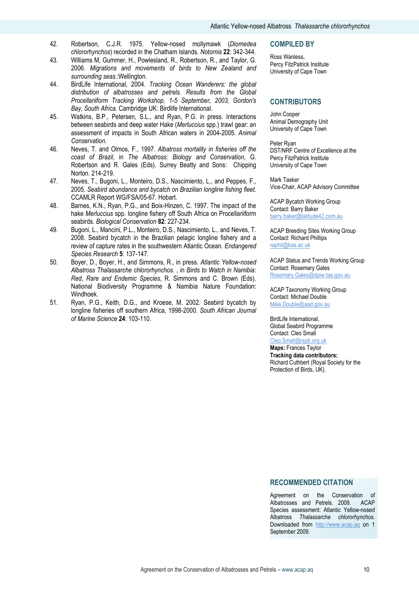- 42. Robertson, C.J.R. 1975. Yellow-nosed mollymawk (Diomedea chlororhynchos) recorded in the Chatham Islands. Notornis 22: 342-344.
- 43. Williams M, Gummer, H., Powlesland, R., Robertson, R., and Taylor, G. 2006. Migrations and movements of birds to New Zealand and surrounding seas.:Wellington.
- 44. BirdLife International, 2004. Tracking Ocean Wanderers: the global distribution of albatrosses and petrels. Results from the Global Procellariiform Tracking Workshop, 1-5 September, 2003, Gordon's Bay, South Africa. Cambridge UK: Birdlife International.
- 45. Watkins, B.P., Petersen, S.L., and Ryan, P.G. in press. Interactions between seabirds and deep water Hake (Merluccius spp.) trawl gear: an assessment of impacts in South African waters in 2004-2005. Animal Conservation.
- 46. Neves, T. and Olmos, F., 1997. Albatross mortality in fisheries off the coast of Brazil, in The Albatross: Biology and Conservation, G. Robertson and R. Gales (Eds). Surrey Beatty and Sons: Chipping Norton. 214-219.
- 47. Neves, T., Bugoni, L., Monteiro, D.S., Nascimiento, L., and Peppes, F., 2005. Seabird abundance and bycatch on Brazilian longline fishing fleet. CCAMLR Report WG/FSA/05-67. Hobart.
- 48. Barnes, K.N., Ryan, P.G., and Boix-Hinzen, C. 1997. The impact of the hake Merluccius spp. longline fishery off South Africa on Procellariiform seabirds. Biological Conservation 82: 227-234.
- 49. Bugoni, L., Mancini, P.L., Monteiro, D.S., Nascimiento, L., and Neves, T. 2008. Seabird bycatch in the Brazilian pelagic longline fishery and a review of capture rates in the southwestern Atlantic Ocean. Endangered Species Research 5: 137-147.
- 50. Boyer, D., Boyer, H., and Simmons, R., in press. Atlantic Yellow-nosed Albatross Thalassarche chlororhynchos. , in Birds to Watch in Namibia: Red, Rare and Endemic Species, R. Simmons and C. Brown (Eds). National Biodiversity Programme & Namibia Nature Foundation: Windhoek.
- 51. Ryan, P.G., Keith, D.G., and Kroese, M. 2002. Seabird bycatch by longline fisheries off southern Africa, 1998-2000. South African Journal of Marine Science 24: 103-110.

#### COMPILED BY

Ross Wanless, Percy FitzPatrick Institute University of Cape Town

#### **CONTRIBUTORS**

John Cooper Animal Demography Unit University of Cape Town

Peter Ryan DST/NRF Centre of Excellence at the Percy FitzPatrick Institute University of Cape Town

Mark Tasker Vice-Chair, ACAP Advisory Committee

ACAP Bycatch Working Group Contact: Barry Baker barry.baker@latitude42.com.au

ACAP Breeding Sites Working Group Contact: Richard Phillips raphil@bas.ac.uk

ACAP Status and Trends Working Group Contact: Rosemary Gales Rosemary.Gales@dpiw.tas.gov.au

ACAP Taxonomy Working Group Contact: Michael Double Mike.Double@aad.gov.au

BirdLife International, Global Seabird Programme Contact: Cleo Small Cleo.Small@rspb.org.uk Maps: Frances Taylor Tracking data contributors: Richard Cuthbert (Royal Society for the Protection of Birds, UK).

## RECOMMENDED CITATION

Agreement on the Conservation of Albatrosses and Petrels. 2009. ACAP Species assessment: Atlantic Yellow-nosed Albatross Thalassarche chlororhynchos. Downloaded from http://www.acap.aq on 1 September 2009.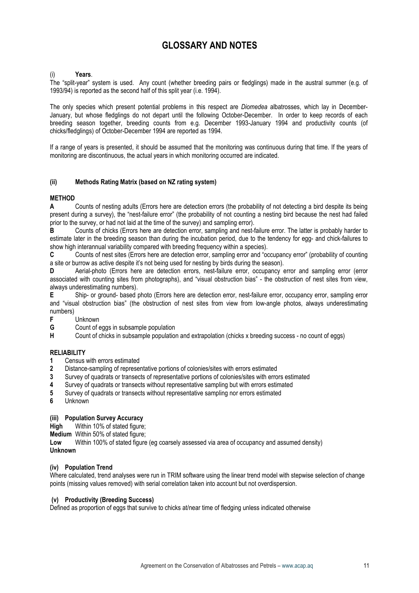## GLOSSARY AND NOTES

## Years.

The "split-year" system is used. Any count (whether breeding pairs or fledglings) made in the austral summer (e.g. of 1993/94) is reported as the second half of this split year (i.e. 1994).

The only species which present potential problems in this respect are *Diomedea* albatrosses, which lay in December-January, but whose fledglings do not depart until the following October-December. In order to keep records of each breeding season together, breeding counts from e.g. December 1993-January 1994 and productivity counts (of chicks/fledglings) of October-December 1994 are reported as 1994.

If a range of years is presented, it should be assumed that the monitoring was continuous during that time. If the years of monitoring are discontinuous, the actual years in which monitoring occurred are indicated.

## (ii) Methods Rating Matrix (based on NZ rating system)

## **METHOD**

A Counts of nesting adults (Errors here are detection errors (the probability of not detecting a bird despite its being present during a survey), the "nest-failure error" (the probability of not counting a nesting bird because the nest had failed prior to the survey, or had not laid at the time of the survey) and sampling error).

B Counts of chicks (Errors here are detection error, sampling and nest-failure error. The latter is probably harder to estimate later in the breeding season than during the incubation period, due to the tendency for egg- and chick-failures to show high interannual variability compared with breeding frequency within a species).

C Counts of nest sites (Errors here are detection error, sampling error and "occupancy error" (probability of counting a site or burrow as active despite it's not being used for nesting by birds during the season).

D Aerial-photo (Errors here are detection errors, nest-failure error, occupancy error and sampling error (error associated with counting sites from photographs), and "visual obstruction bias" - the obstruction of nest sites from view, always underestimating numbers).

E Ship- or ground- based photo (Errors here are detection error, nest-failure error, occupancy error, sampling error and "visual obstruction bias" (the obstruction of nest sites from view from low-angle photos, always underestimating numbers)<br>F

Unknown

**G** Count of eggs in subsample population<br> **H** Count of chicks in subsample population

Count of chicks in subsample population and extrapolation (chicks x breeding success - no count of eggs)

### RELIABILITY

- 1 Census with errors estimated
- 2 Distance-sampling of representative portions of colonies/sites with errors estimated
- 3 Survey of quadrats or transects of representative portions of colonies/sites with errors estimated
- 4 Survey of quadrats or transects without representative sampling but with errors estimated
- 5 Survey of quadrats or transects without representative sampling nor errors estimated
- 6 Unknown

#### (iii) Population Survey Accuracy

High Within 10% of stated figure;

Medium Within 50% of stated figure;

Low Within 100% of stated figure (eg coarsely assessed via area of occupancy and assumed density)

### Unknown

#### (iv) Population Trend

Where calculated, trend analyses were run in TRIM software using the linear trend model with stepwise selection of change points (missing values removed) with serial correlation taken into account but not overdispersion.

#### (v) Productivity (Breeding Success)

Defined as proportion of eggs that survive to chicks at/near time of fledging unless indicated otherwise